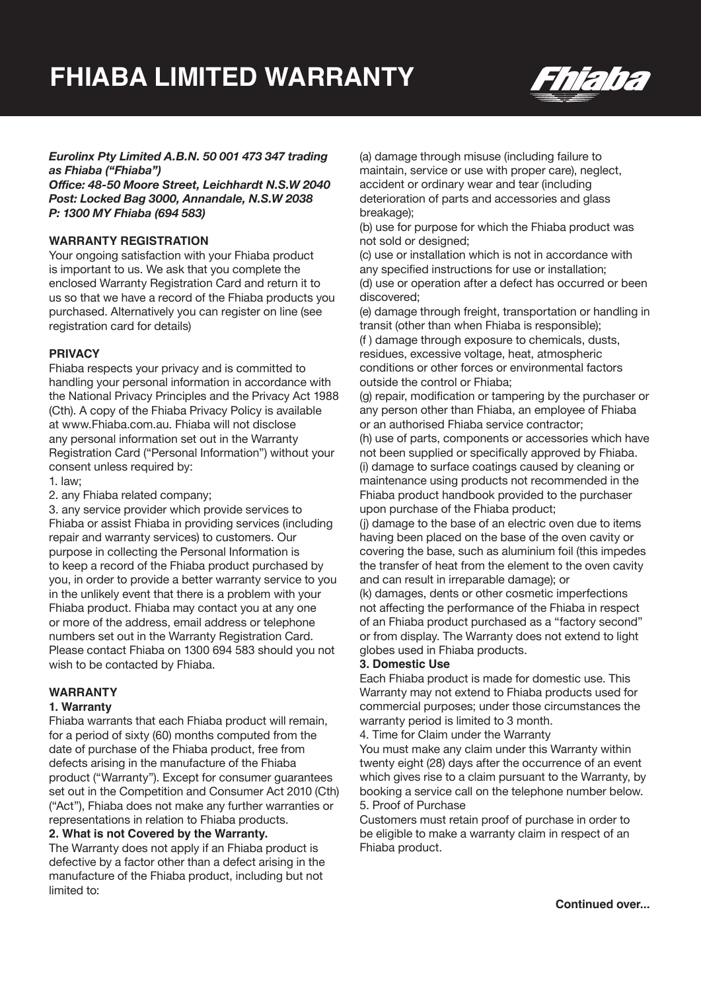

### *Eurolinx Pty Limited A.B.N. 50 001 473 347 trading as Fhiaba ("Fhiaba")*

*Office: 48-50 Moore Street, Leichhardt N.S.W 2040 Post: Locked Bag 3000, Annandale, N.S.W 2038 P: 1300 MY Fhiaba (694 583)*

### **WARRANTY REGISTRATION**

Your ongoing satisfaction with your Fhiaba product is important to us. We ask that you complete the enclosed Warranty Registration Card and return it to us so that we have a record of the Fhiaba products you purchased. Alternatively you can register on line (see registration card for details)

### **PRIVACY**

Fhiaba respects your privacy and is committed to handling your personal information in accordance with the National Privacy Principles and the Privacy Act 1988 (Cth). A copy of the Fhiaba Privacy Policy is available at www.Fhiaba.com.au. Fhiaba will not disclose any personal information set out in the Warranty Registration Card ("Personal Information") without your consent unless required by:

1. law;

2. any Fhiaba related company;

3. any service provider which provide services to Fhiaba or assist Fhiaba in providing services (including repair and warranty services) to customers. Our purpose in collecting the Personal Information is to keep a record of the Fhiaba product purchased by you, in order to provide a better warranty service to you in the unlikely event that there is a problem with your Fhiaba product. Fhiaba may contact you at any one or more of the address, email address or telephone numbers set out in the Warranty Registration Card. Please contact Fhiaba on 1300 694 583 should you not wish to be contacted by Fhiaba.

### **WARRANTY**

### **1. Warranty**

Fhiaba warrants that each Fhiaba product will remain, for a period of sixty (60) months computed from the date of purchase of the Fhiaba product, free from defects arising in the manufacture of the Fhiaba product ("Warranty"). Except for consumer guarantees set out in the Competition and Consumer Act 2010 (Cth) ("Act"), Fhiaba does not make any further warranties or representations in relation to Fhiaba products.

#### **2. What is not Covered by the Warranty.**

The Warranty does not apply if an Fhiaba product is defective by a factor other than a defect arising in the manufacture of the Fhiaba product, including but not limited to:

(a) damage through misuse (including failure to maintain, service or use with proper care), neglect, accident or ordinary wear and tear (including deterioration of parts and accessories and glass breakage);

(b) use for purpose for which the Fhiaba product was not sold or designed;

(c) use or installation which is not in accordance with any specified instructions for use or installation; (d) use or operation after a defect has occurred or been discovered;

(e) damage through freight, transportation or handling in transit (other than when Fhiaba is responsible); (f ) damage through exposure to chemicals, dusts, residues, excessive voltage, heat, atmospheric conditions or other forces or environmental factors outside the control or Fhiaba;

(g) repair, modification or tampering by the purchaser or any person other than Fhiaba, an employee of Fhiaba or an authorised Fhiaba service contractor;

(h) use of parts, components or accessories which have not been supplied or specifically approved by Fhiaba. (i) damage to surface coatings caused by cleaning or maintenance using products not recommended in the Fhiaba product handbook provided to the purchaser upon purchase of the Fhiaba product;

(j) damage to the base of an electric oven due to items having been placed on the base of the oven cavity or covering the base, such as aluminium foil (this impedes the transfer of heat from the element to the oven cavity and can result in irreparable damage); or

(k) damages, dents or other cosmetic imperfections not affecting the performance of the Fhiaba in respect of an Fhiaba product purchased as a "factory second" or from display. The Warranty does not extend to light globes used in Fhiaba products.

### **3. Domestic Use**

Each Fhiaba product is made for domestic use. This Warranty may not extend to Fhiaba products used for commercial purposes; under those circumstances the warranty period is limited to 3 month.

4. Time for Claim under the Warranty

You must make any claim under this Warranty within twenty eight (28) days after the occurrence of an event which gives rise to a claim pursuant to the Warranty, by booking a service call on the telephone number below. 5. Proof of Purchase

Customers must retain proof of purchase in order to be eligible to make a warranty claim in respect of an Fhiaba product.